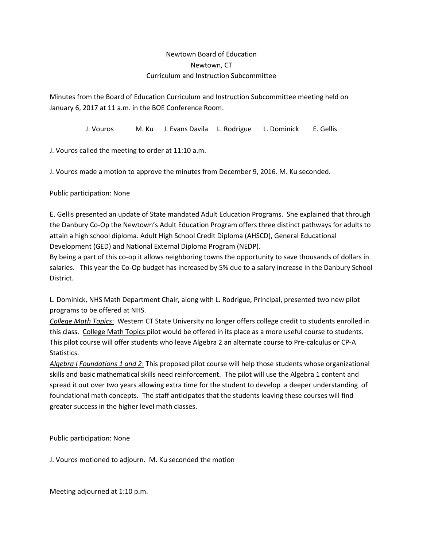## Newtown Board of Education Newtown, CT Curriculum and Instruction Subcommittee

Minutes from the Board of Education Curriculum and Instruction Subcommittee meeting held on January 6, 2017 at 11 a.m. in the BOE Conference Room.

J. Vouros M. Ku J. Evans Davila L. Rodrigue L. Dominick E. Gellis

J. Vouros called the meeting to order at 11:10 a.m.

J. Vouros made a motion to approve the minutes from December 9, 2016. M. Ku seconded.

Public participation: None

E. Gellis presented an update of State mandated Adult Education Programs. She explained that through the Danbury Co-Op the Newtown's Adult Education Program offers three distinct pathways for adults to attain a high school diploma. Adult High School Credit Diploma (AHSCD), General Educational Development (GED) and National External Diploma Program (NEDP).

By being a part of this co-op it allows neighboring towns the opportunity to save thousands of dollars in salaries. This year the Co-Op budget has increased by 5% due to a salary increase in the Danbury School District.

L. Dominick, NHS Math Department Chair, along with L. Rodrigue, Principal, presented two new pilot programs to be offered at NHS.

*College Math Topics*: Western CT State University no longer offers college credit to students enrolled in this class. College Math Topics pilot would be offered in its place as a more useful course to students. This pilot course will offer students who leave Algebra 2 an alternate course to Pre-calculus or CP-A Statistics.

*Algebra I Foundations 1 and 2*: This proposed pilot course will help those students whose organizational skills and basic mathematical skills need reinforcement. The pilot will use the Algebra 1 content and spread it out over two years allowing extra time for the student to develop a deeper understanding of foundational math concepts. The staff anticipates that the students leaving these courses will find greater success in the higher level math classes.

Public participation: None

J. Vouros motioned to adjourn. M. Ku seconded the motion

Meeting adjourned at 1:10 p.m.